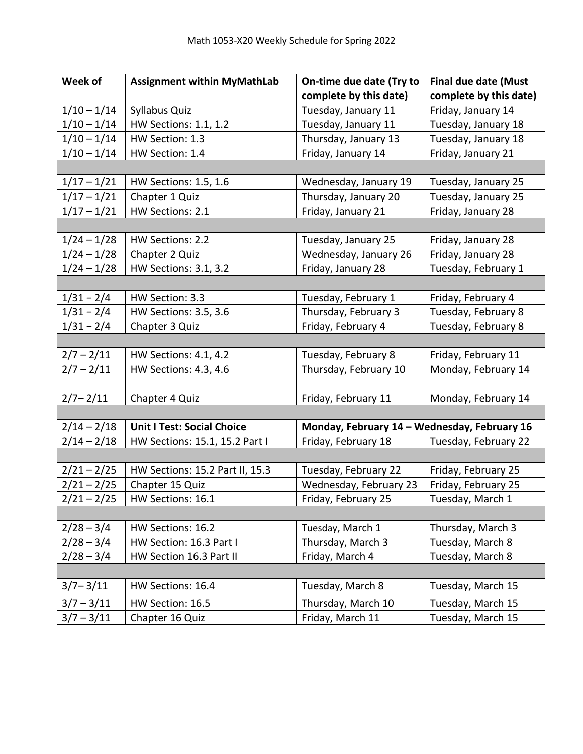| Week of       | <b>Assignment within MyMathLab</b> | On-time due date (Try to                     | <b>Final due date (Must</b> |
|---------------|------------------------------------|----------------------------------------------|-----------------------------|
|               |                                    | complete by this date)                       | complete by this date)      |
| $1/10 - 1/14$ | Syllabus Quiz                      | Tuesday, January 11                          | Friday, January 14          |
| $1/10 - 1/14$ | HW Sections: 1.1, 1.2              | Tuesday, January 11                          | Tuesday, January 18         |
| $1/10 - 1/14$ | HW Section: 1.3                    | Thursday, January 13                         | Tuesday, January 18         |
| $1/10 - 1/14$ | HW Section: 1.4                    | Friday, January 14                           | Friday, January 21          |
|               |                                    |                                              |                             |
| $1/17 - 1/21$ | HW Sections: 1.5, 1.6              | Wednesday, January 19                        | Tuesday, January 25         |
| $1/17 - 1/21$ | Chapter 1 Quiz                     | Thursday, January 20                         | Tuesday, January 25         |
| $1/17 - 1/21$ | HW Sections: 2.1                   | Friday, January 21                           | Friday, January 28          |
|               |                                    |                                              |                             |
| $1/24 - 1/28$ | HW Sections: 2.2                   | Tuesday, January 25                          | Friday, January 28          |
| $1/24 - 1/28$ | Chapter 2 Quiz                     | Wednesday, January 26                        | Friday, January 28          |
| $1/24 - 1/28$ | HW Sections: 3.1, 3.2              | Friday, January 28                           | Tuesday, February 1         |
|               |                                    |                                              |                             |
| $1/31 - 2/4$  | HW Section: 3.3                    | Tuesday, February 1                          | Friday, February 4          |
| $1/31 - 2/4$  | HW Sections: 3.5, 3.6              | Thursday, February 3                         | Tuesday, February 8         |
| $1/31 - 2/4$  | Chapter 3 Quiz                     | Friday, February 4                           | Tuesday, February 8         |
|               |                                    |                                              |                             |
| $2/7 - 2/11$  | HW Sections: 4.1, 4.2              | Tuesday, February 8                          | Friday, February 11         |
| $2/7 - 2/11$  | HW Sections: 4.3, 4.6              | Thursday, February 10                        | Monday, February 14         |
| $2/7 - 2/11$  | Chapter 4 Quiz                     | Friday, February 11                          | Monday, February 14         |
|               |                                    |                                              |                             |
| $2/14 - 2/18$ | <b>Unit I Test: Social Choice</b>  | Monday, February 14 - Wednesday, February 16 |                             |
| $2/14 - 2/18$ | HW Sections: 15.1, 15.2 Part I     | Friday, February 18                          | Tuesday, February 22        |
|               |                                    |                                              |                             |
| $2/21 - 2/25$ | HW Sections: 15.2 Part II, 15.3    | Tuesday, February 22                         | Friday, February 25         |
| $2/21 - 2/25$ | Chapter 15 Quiz                    | Wednesday, February 23                       | Friday, February 25         |
| $2/21 - 2/25$ | HW Sections: 16.1                  | Friday, February 25                          | Tuesday, March 1            |
|               |                                    |                                              |                             |
| $2/28 - 3/4$  | HW Sections: 16.2                  | Tuesday, March 1                             | Thursday, March 3           |
| $2/28 - 3/4$  | HW Section: 16.3 Part I            | Thursday, March 3                            | Tuesday, March 8            |
| $2/28 - 3/4$  | HW Section 16.3 Part II            | Friday, March 4                              | Tuesday, March 8            |
|               |                                    |                                              |                             |
| $3/7 - 3/11$  | HW Sections: 16.4                  | Tuesday, March 8                             | Tuesday, March 15           |
| $3/7 - 3/11$  | HW Section: 16.5                   | Thursday, March 10                           | Tuesday, March 15           |
| $3/7 - 3/11$  | Chapter 16 Quiz                    | Friday, March 11                             | Tuesday, March 15           |